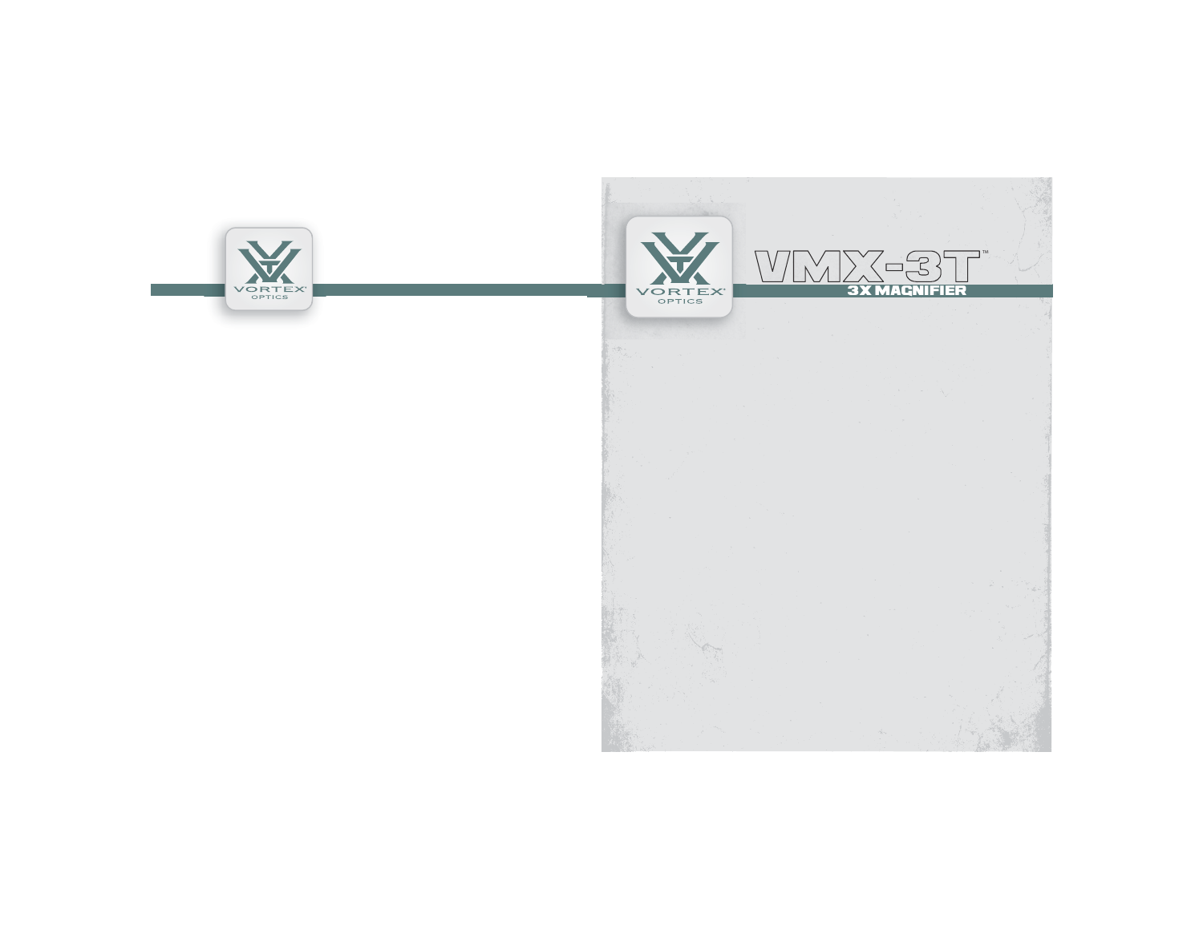

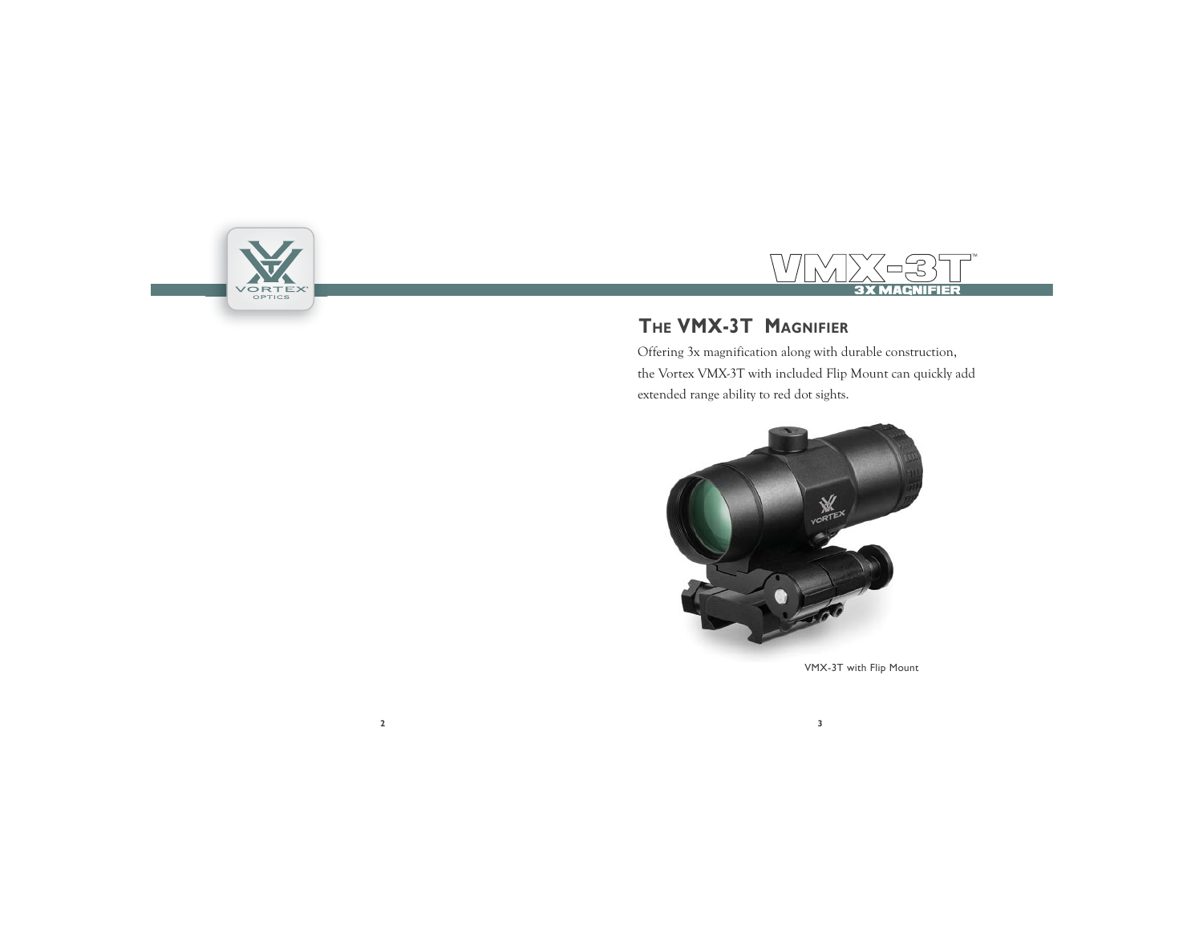



# **THE VMX-3T MAGNIFIER**

Offering 3x magnification along with durable construction, the Vortex VMX-3T with included Flip Mount can quickly add extended range ability to red dot sights.



VMX-3T with Flip Mount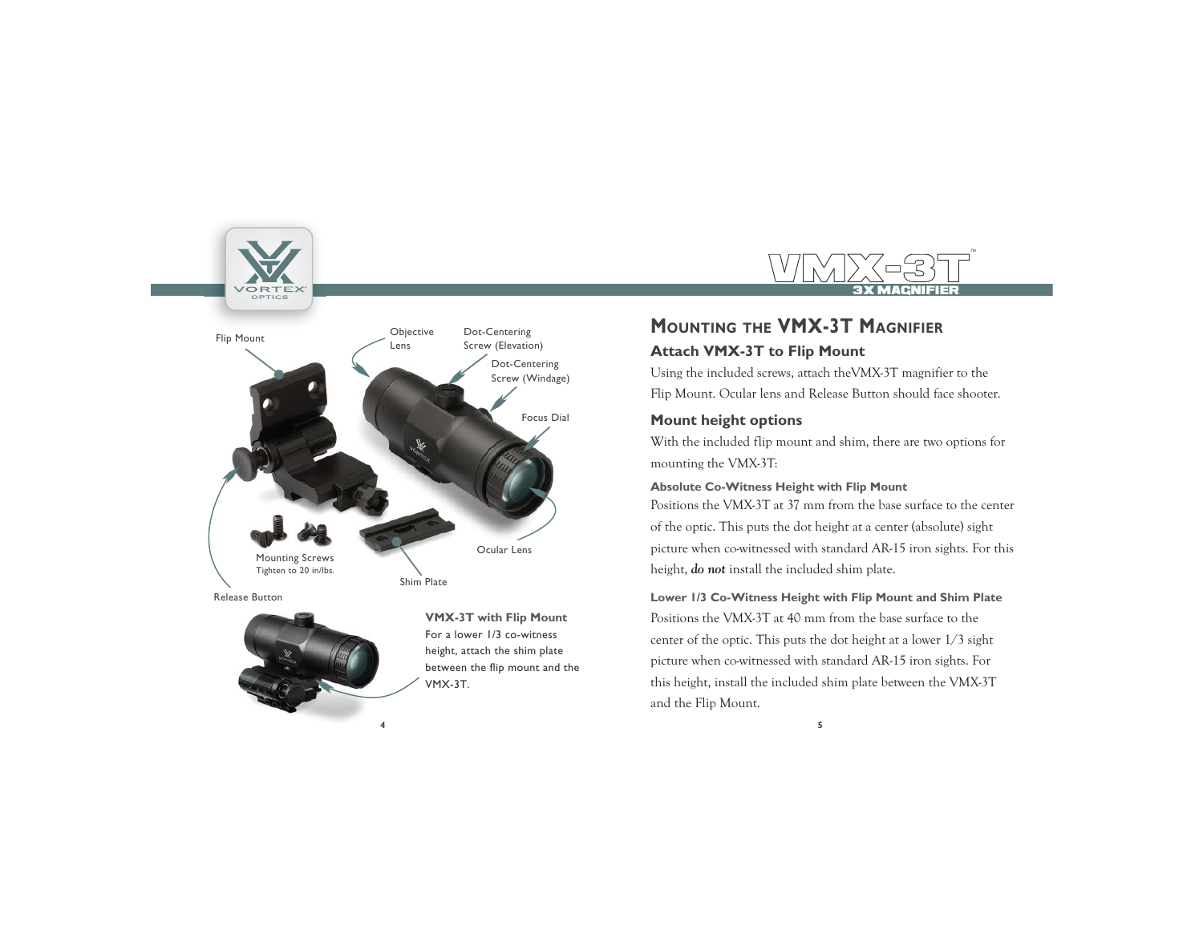



**VMX-3T with Flip Mount** For a lower 1/3 co-witness height, attach the shim plate between the flip mount and the VMX-3T.

# **MOUNTING THE VMX-3T MAGNIFIER**

### **Attach VMX-3T to Flip Mount**

Using the included screws, attach theVMX-3T magnifier to the Flip Mount. Ocular lens and Release Button should face shooter.

VMMYK-3TF

3X MAGNIFIER

TM

### **Mount height options**

With the included flip mount and shim, there are two options for mounting the VMX-3T:

#### **Absolute Co-Witness Height with Flip Mount**

Positions the VMX-3T at 37 mm from the base surface to the center of the optic. This puts the dot height at a center (absolute) sight <sup>p</sup>icture when co-witnessed with standard AR-15 iron sights. For this height, *do not* install the included shim plate.

#### **Lower 1/3 Co-Witness Height with Flip Mount and Shim Plate**

Positions the VMX-3T at 40 mm from the base surface to the center of the optic. This puts the dot height at a lower 1/3 sight <sup>p</sup>icture when co-witnessed with standard AR-15 iron sights. For this height, install the included shim plate between the VMX-3T and the Flip Mount.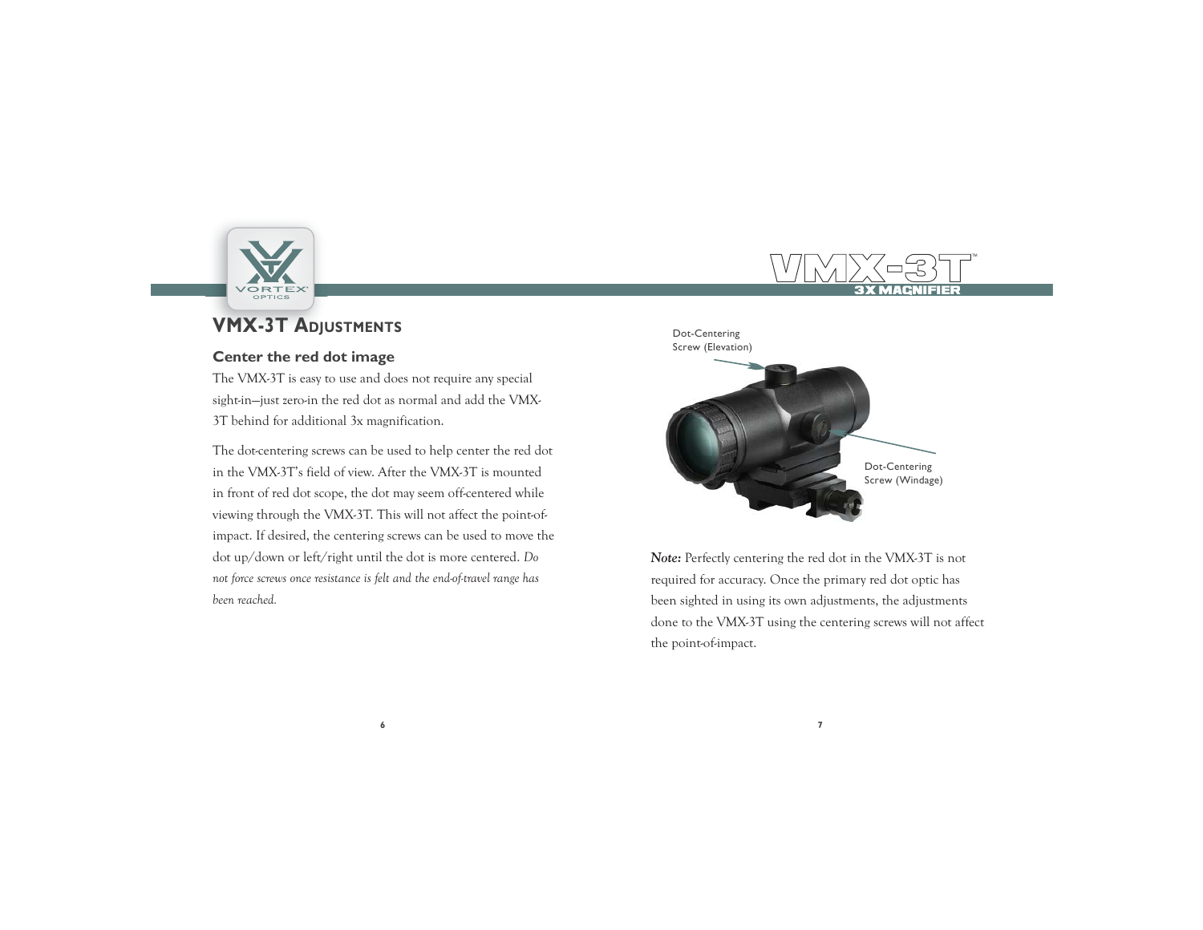

# **VMX-3T ADJUSTMENTS** DOLLARY DESCRIPTION DECEMBER

#### **Center the red dot image**

The VMX-3T is easy to use and does not require any special sight-in—just zero-in the red dot as normal and add the VMX-3T behind for additional 3x magnification.

The dot-centering screws can be used to help center the red dot in the VMX-3T's field of view. After the VMX-3T is mounted in front of red dot scope, the dot may seem off-centered while viewing through the VMX-3T. This will not affect the point-ofimpact. If desired, the centering screws can be used to move the dot up/down or left/right until the dot is more centered. *Do not force screws once resistance is felt and the end-of-travel range has been reached.*





*Note:* Perfectly centering the red dot in the VMX-3T is not required for accuracy. Once the primary red dot optic has been sighted in using its own adjustments, the adjustments done to the VMX-3T using the centering screws will not affect the point-of-impact.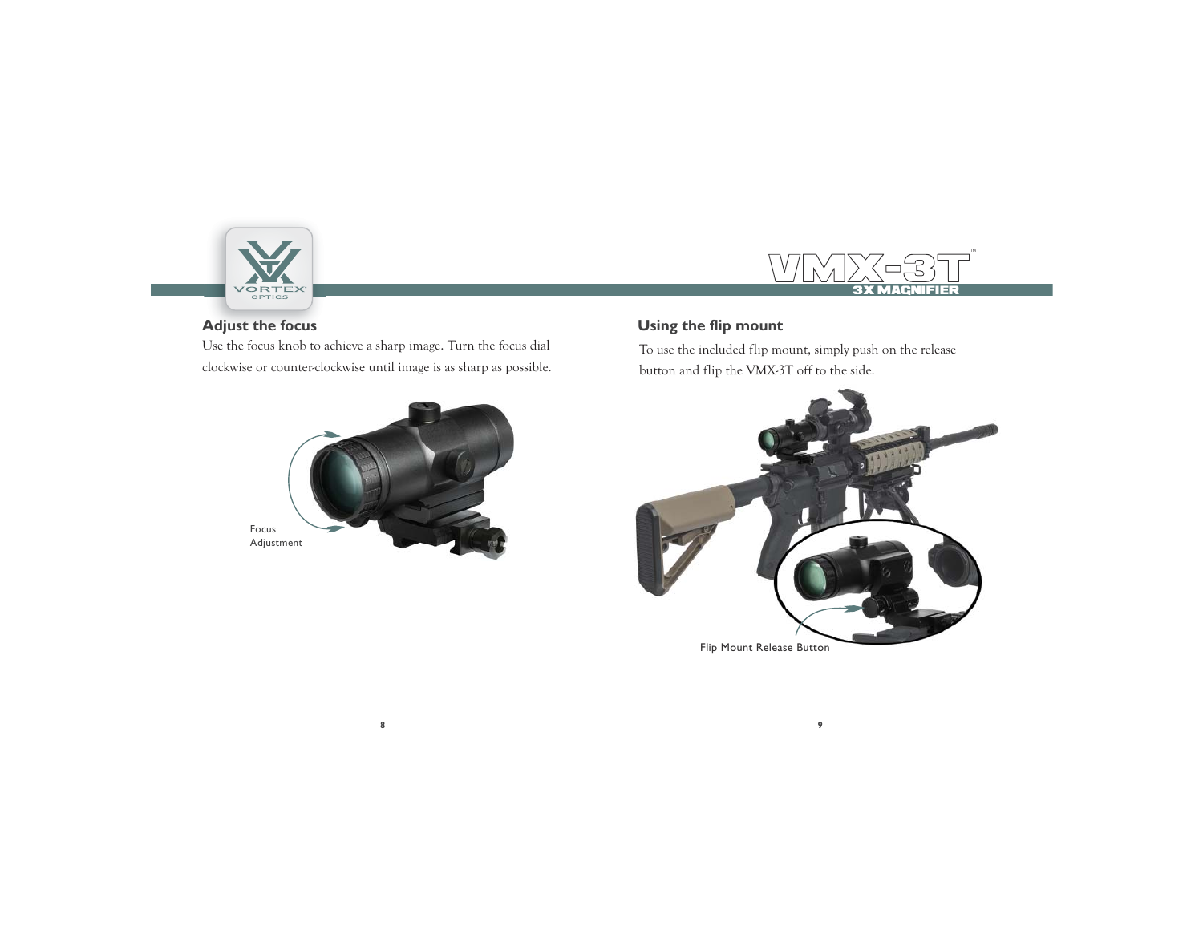

#### VMMYK-3TF 3X MAGNIFIERTM

#### **Adjust the focus**

Use the focus knob to achieve a sharp image. Turn the focus dial clockwise or counter-clockwise until image is as sharp as possible.



### **Using the flip mount**

To use the included flip mount, simply push on the release button and flip the VMX-3T off to the side.

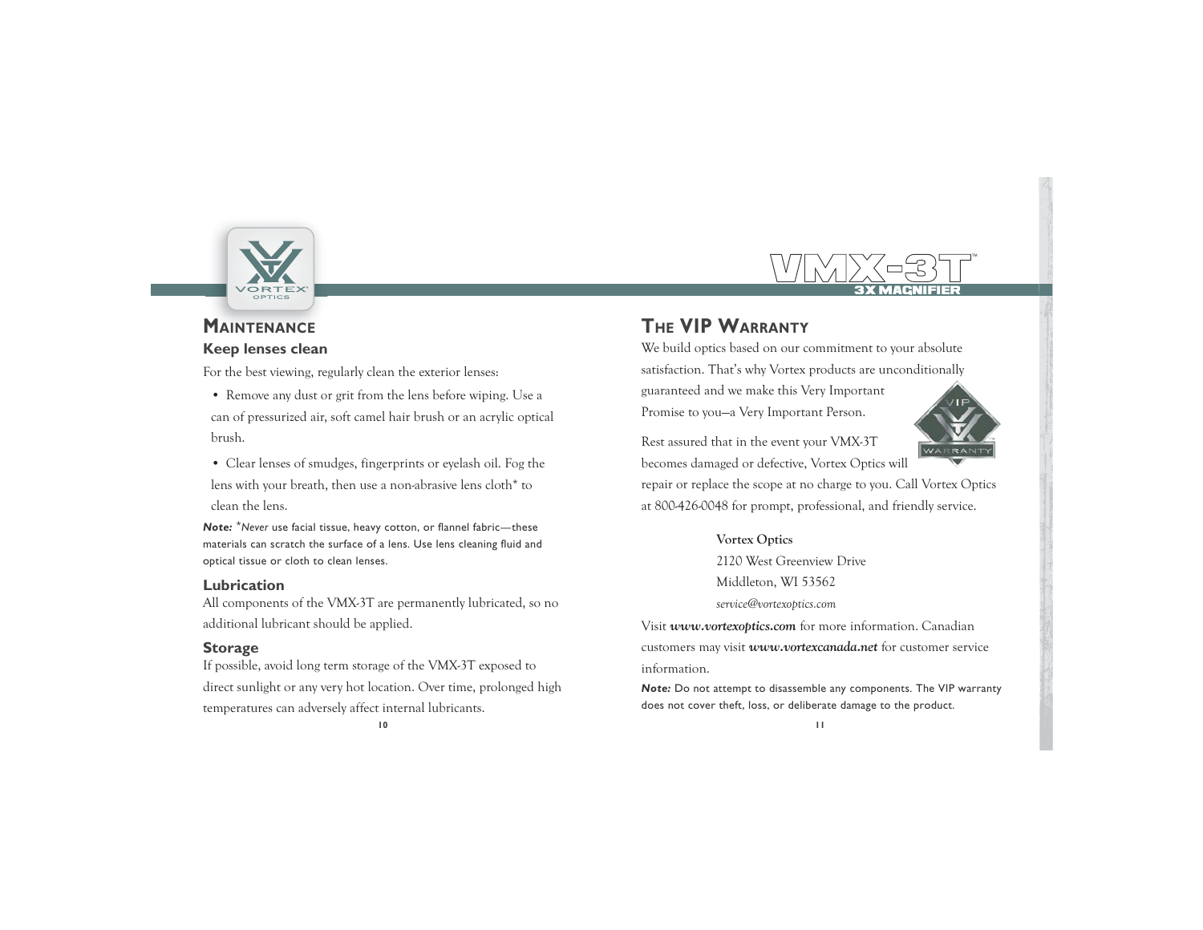

#### VMX-3T3X MAGNIFIERTM

## **MAINTENANCE Keep lenses clean**

For the best viewing, regularly clean the exterior lenses:

- Remove any dust or grit from the lens before wiping. Use a can of pressurized air, soft camel hair brush or an acrylic optical brush.
- Clear lenses of smudges, fingerprints or eyelash oil. Fog the lens with your breath, then use a non-abrasive lens cloth\* to clean the lens.
- *Note:* \**Never* use facial tissue, heavy cotton, or flannel fabric—these materials can scratch the surface of a lens. Use lens cleaning fluid and optical tissue or cloth to clean lenses.

#### **Lubrication**

All components of the VMX-3T are permanently lubricated, so no additional lubricant should be applied.

### **Storage**

If possible, avoid long term storage of the VMX-3T exposed to direct sunlight or any very hot location. Over time, prolonged high temperatures can adversely affect internal lubricants.

# **THE VIP WARRANTY**

We build optics based on our commitment to your absolute satisfaction. That's why Vortex products are unconditionally guaranteed and we make this Very Important

Promise to you—a Very Important Person.

Rest assured that in the event your VMX-3T becomes damaged or defective, Vortex Optics will



repair or replace the scope at no charge to you. Call Vortex Optics at 800-426-0048 for prompt, professional, and friendly service.

#### **Vortex Optics**

2120 West Greenview DriveMiddleton, WI 53562 *service@vortexoptics.com*

Visit *www.vortexoptics.com* for more information. Canadian customers may visit *www.vortexcanada.net* for customer service information.

*Note:* Do not attempt to disassemble any components. The VIP warranty does not cover theft, loss, or deliberate damage to the product.